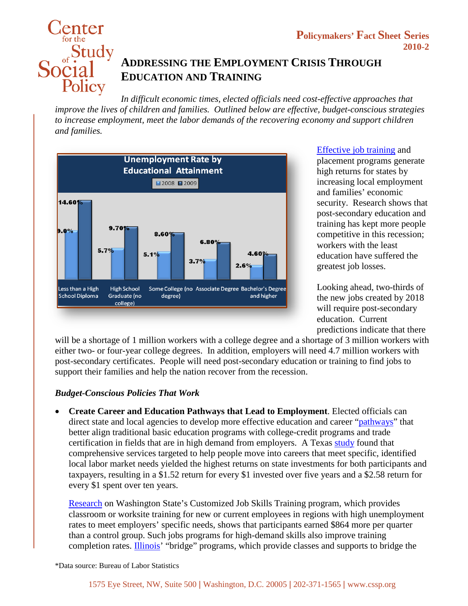

## **ADDRESSING THE EMPLOYMENT CRISIS THROUGH EDUCATION AND TRAINING**

*In difficult economic times, elected officials need cost-effective approaches that improve the lives of children and families. Outlined below are effective, budget-conscious strategies to increase employment, meet the labor demands of the recovering economy and support children and families.*



[Effective job training](http://policyforresults.org/Topics/2008/Family-Economic-Success/Reduce-Poverty/Poverty-Level/What-Works/Strategies/Job-Training.aspx) and placement programs generate high returns for states by increasing local employment and families' economic security. Research shows that post-secondary education and training has kept more people competitive in this recession; workers with the least education have suffered the greatest job losses.

Looking ahead, two-thirds of the new jobs created by 2018 will require post-secondary education. Current predictions indicate that there

will be a shortage of 1 million workers with a college degree and a shortage of 3 million workers with either two- or four-year college degrees. In addition, employers will need 4.7 million workers with post-secondary certificates. People will need post-secondary education or training to find jobs to support their families and help the nation recover from the recession.

## *Budget-Conscious Policies That Work*

• **Create Career and Education Pathways that Lead to Employment**. Elected officials can direct state and local agencies to develop more effective education and career ["pathways"](http://policyforresults.org/Topics/2008/Family-Economic-Success/Reduce-Poverty/Poverty-Level/What-Works/Strategies/Job-Training/Create-Seamless-Education-Pathways.aspx) that better align traditional basic education programs with college-credit programs and trade certification in fields that are in high demand from employers. A Texas [study](http://www.spworkforce.org/docs/ROI_State_Rpt_TAWB_Rvd_August_12_08.pdf) found that comprehensive services targeted to help people move into careers that meet specific, identified local labor market needs yielded the highest returns on state investments for both participants and taxpayers, resulting in a \$1.52 return for every \$1 invested over five years and a \$2.58 return for every \$1 spent over ten years.

[Research](http://www.workfirst.wa.gov/research/3000/studyActiv.pdf) on Washington State's Customized Job Skills Training program, which provides classroom or worksite training for new or current employees in regions with high unemployment rates to meet employers' specific needs, shows that participants earned \$864 more per quarter than a control group. Such jobs programs for high-demand skills also improve training completion rates. [Illinois'](http://www.shifting-gears.org/index.php?option=com_content&view=article&id=78:bridge-definition-and-core-elements-&catid=38:state-progress&Itemid=58) "bridge" programs, which provide classes and supports to bridge the

\*Data source: Bureau of Labor Statistics